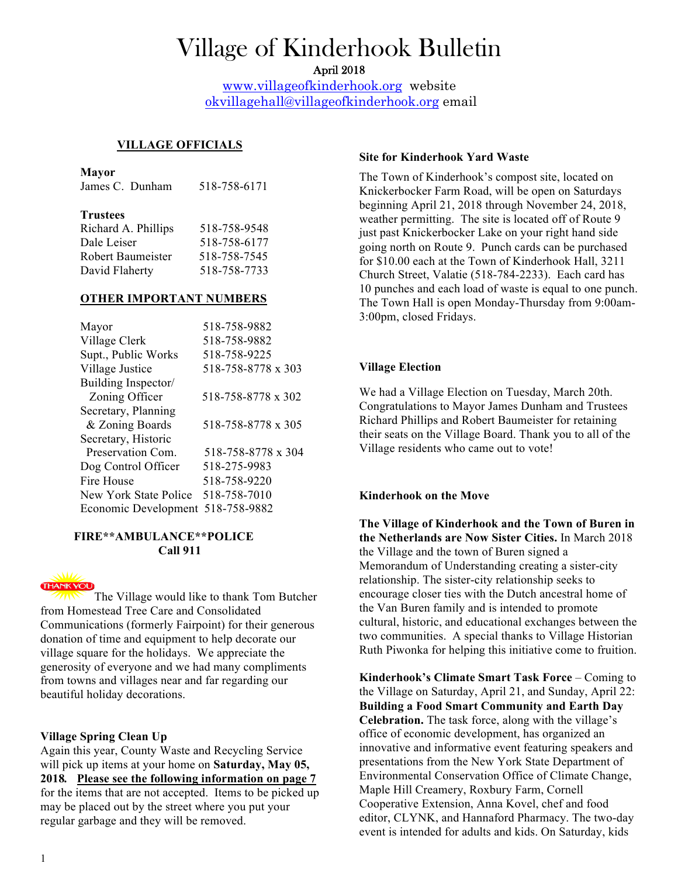# Village of Kinderhook Bulletin

April 2018

www.villageofkinderhook.org website okvillagehall@villageofkinderhook.org email

 $\mathbf{I}$ 

 $\mathbf{I}$ 

# **VILLAGE OFFICIALS**

#### **Mayor**

 $\overline{1}$ 

|                 | James C. Dunham                                                                                                                                                                                                               | 518-758-6171 |
|-----------------|-------------------------------------------------------------------------------------------------------------------------------------------------------------------------------------------------------------------------------|--------------|
| <b>Trustees</b> | $T_1$ 1 $1$ $T_2$ $T_3$ $T_4$ $T_5$ $T_6$ $T_7$ $T_8$ $T_9$ $T_9$ $T_9$ $T_8$ $T_9$ $T_9$ $T_9$ $T_9$ $T_9$ $T_9$ $T_9$ $T_9$ $T_9$ $T_9$ $T_9$ $T_9$ $T_9$ $T_9$ $T_9$ $T_9$ $T_9$ $T_9$ $T_9$ $T_9$ $T_9$ $T_9$ $T_9$ $T_9$ | 510.750.0510 |

| Richard A. Phillips | 518-758-9548 |
|---------------------|--------------|
| Dale Leiser         | 518-758-6177 |
| Robert Baumeister   | 518-758-7545 |
| David Flaherty      | 518-758-7733 |
|                     |              |

## **OTHER IMPORTANT NUMBERS**

| Mayor                 | 518-758-9882       |
|-----------------------|--------------------|
| Village Clerk         | 518-758-9882       |
| Supt., Public Works   | 518-758-9225       |
| Village Justice       | 518-758-8778 x 303 |
| Building Inspector/   |                    |
| Zoning Officer        | 518-758-8778 x 302 |
| Secretary, Planning   |                    |
| & Zoning Boards       | 518-758-8778 x 305 |
| Secretary, Historic   |                    |
| Preservation Com      | 518-758-8778 x 304 |
| Dog Control Officer   | 518-275-9983       |
| Fire House            | 518-758-9220       |
| New York State Police | 518-758-7010       |
| Economic Development  | 518-758-9882       |

## **FIRE\*\*AMBULANCE\*\*POLICE Call 911**



 $\mathbf{I}$ 

The Village would like to thank Tom Butcher from Homestead Tree Care and Consolidated Communications (formerly Fairpoint) for their generous donation of time and equipment to help decorate our village square for the holidays. We appreciate the generosity of everyone and we had many compliments from towns and villages near and far regarding our beautiful holiday decorations.

# **Village Spring Clean Up**

Again this year, County Waste and Recycling Service will pick up items at your home on **Saturday, May 05, 2018***.* **Please see the following information on page 7** for the items that are not accepted. Items to be picked up may be placed out by the street where you put your regular garbage and they will be removed.

## **Site for Kinderhook Yard Waste**

The Town of Kinderhook's compost site, located on Knickerbocker Farm Road, will be open on Saturdays beginning April 21, 2018 through November 24, 2018, weather permitting. The site is located off of Route 9 just past Knickerbocker Lake on your right hand side going north on Route 9. Punch cards can be purchased for \$10.00 each at the Town of Kinderhook Hall, 3211 Church Street, Valatie (518-784-2233). Each card has 10 punches and each load of waste is equal to one punch. The Town Hall is open Monday-Thursday from 9:00am-3:00pm, closed Fridays.

# **Village Election**

We had a Village Election on Tuesday, March 20th. Congratulations to Mayor James Dunham and Trustees Richard Phillips and Robert Baumeister for retaining their seats on the Village Board. Thank you to all of the Village residents who came out to vote!

# **Kinderhook on the Move**

**The Village of Kinderhook and the Town of Buren in the Netherlands are Now Sister Cities.** In March 2018 the Village and the town of Buren signed a Memorandum of Understanding creating a sister-city relationship. The sister-city relationship seeks to encourage closer ties with the Dutch ancestral home of the Van Buren family and is intended to promote cultural, historic, and educational exchanges between the two communities. A special thanks to Village Historian Ruth Piwonka for helping this initiative come to fruition.

**Kinderhook's Climate Smart Task Force** – Coming to the Village on Saturday, April 21, and Sunday, April 22: **Building a Food Smart Community and Earth Day Celebration.** The task force, along with the village's office of economic development, has organized an innovative and informative event featuring speakers and presentations from the New York State Department of Environmental Conservation Office of Climate Change, Maple Hill Creamery, Roxbury Farm, Cornell Cooperative Extension, Anna Kovel, chef and food editor, CLYNK, and Hannaford Pharmacy. The two-day event is intended for adults and kids. On Saturday, kids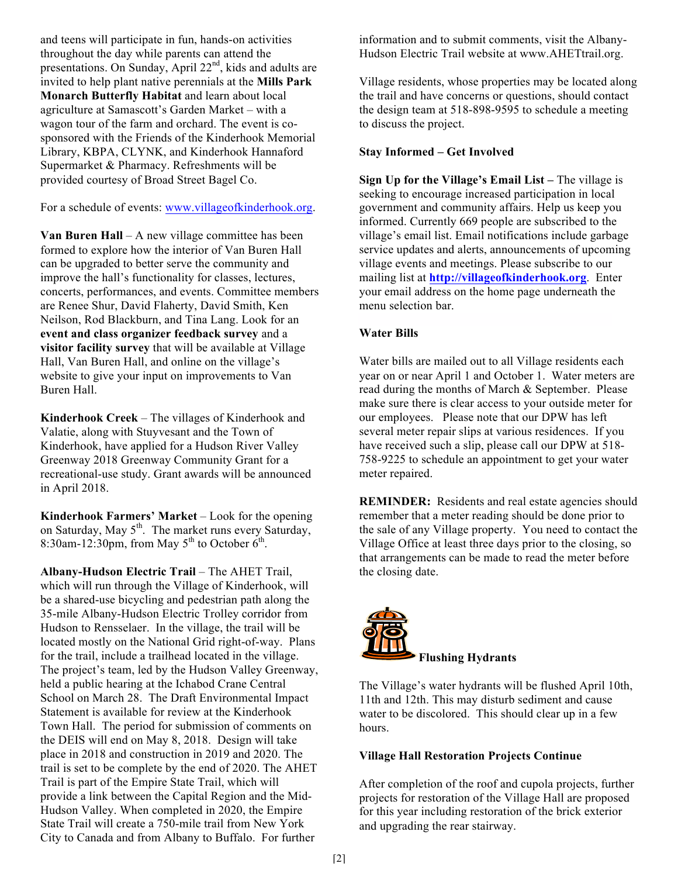and teens will participate in fun, hands-on activities throughout the day while parents can attend the presentations. On Sunday, April 22<sup>nd</sup>, kids and adults are invited to help plant native perennials at the **Mills Park Monarch Butterfly Habitat** and learn about local agriculture at Samascott's Garden Market – with a wagon tour of the farm and orchard. The event is cosponsored with the Friends of the Kinderhook Memorial Library, KBPA, CLYNK, and Kinderhook Hannaford Supermarket & Pharmacy. Refreshments will be provided courtesy of Broad Street Bagel Co.

For a schedule of events: www.villageofkinderhook.org.

**Van Buren Hall** – A new village committee has been formed to explore how the interior of Van Buren Hall can be upgraded to better serve the community and improve the hall's functionality for classes, lectures, concerts, performances, and events. Committee members are Renee Shur, David Flaherty, David Smith, Ken Neilson, Rod Blackburn, and Tina Lang. Look for an **event and class organizer feedback survey** and a **visitor facility survey** that will be available at Village Hall, Van Buren Hall, and online on the village's website to give your input on improvements to Van Buren Hall.

**Kinderhook Creek** – The villages of Kinderhook and Valatie, along with Stuyvesant and the Town of Kinderhook, have applied for a Hudson River Valley Greenway 2018 Greenway Community Grant for a recreational-use study. Grant awards will be announced in April 2018.

Kinderhook Farmers' Market - Look for the opening on Saturday, May  $5<sup>th</sup>$ . The market runs every Saturday, 8:30am-12:30pm, from May  $5<sup>th</sup>$  to October  $6<sup>th</sup>$ .

**Albany-Hudson Electric Trail** – The AHET Trail, which will run through the Village of Kinderhook, will be a shared-use bicycling and pedestrian path along the 35-mile Albany-Hudson Electric Trolley corridor from Hudson to Rensselaer. In the village, the trail will be located mostly on the National Grid right-of-way. Plans for the trail, include a trailhead located in the village. The project's team, led by the Hudson Valley Greenway, held a public hearing at the Ichabod Crane Central School on March 28. The Draft Environmental Impact Statement is available for review at the Kinderhook Town Hall. The period for submission of comments on the DEIS will end on May 8, 2018. Design will take place in 2018 and construction in 2019 and 2020. The trail is set to be complete by the end of 2020. The AHET Trail is part of the Empire State Trail, which will provide a link between the Capital Region and the Mid-Hudson Valley. When completed in 2020, the Empire State Trail will create a 750-mile trail from New York City to Canada and from Albany to Buffalo. For further

information and to submit comments, visit the Albany-Hudson Electric Trail website at www.AHETtrail.org.

Village residents, whose properties may be located along the trail and have concerns or questions, should contact the design team at 518-898-9595 to schedule a meeting to discuss the project.

# **Stay Informed – Get Involved**

**Sign Up for the Village's Email List –** The village is seeking to encourage increased participation in local government and community affairs. Help us keep you informed. Currently 669 people are subscribed to the village's email list. Email notifications include garbage service updates and alerts, announcements of upcoming village events and meetings. Please subscribe to our mailing list at **http://villageofkinderhook.org**. Enter your email address on the home page underneath the menu selection bar.

# **Water Bills**

Water bills are mailed out to all Village residents each year on or near April 1 and October 1. Water meters are read during the months of March & September. Please make sure there is clear access to your outside meter for our employees. Please note that our DPW has left several meter repair slips at various residences. If you have received such a slip, please call our DPW at 518- 758-9225 to schedule an appointment to get your water meter repaired.

**REMINDER:** Residents and real estate agencies should remember that a meter reading should be done prior to the sale of any Village property. You need to contact the Village Office at least three days prior to the closing, so that arrangements can be made to read the meter before the closing date.



The Village's water hydrants will be flushed April 10th, 11th and 12th. This may disturb sediment and cause water to be discolored. This should clear up in a few hours.

# **Village Hall Restoration Projects Continue**

After completion of the roof and cupola projects, further projects for restoration of the Village Hall are proposed for this year including restoration of the brick exterior and upgrading the rear stairway.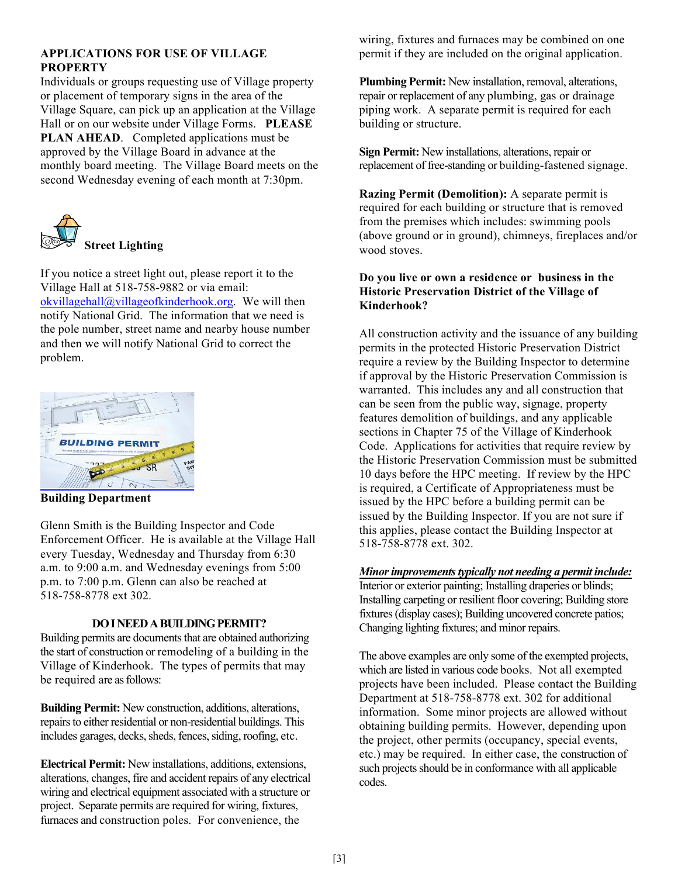## **APPLICATIONS FOR USE OF VILLAGE PROPERTY**

Individuals or groups requesting use of Village property or placement of temporary signs in the area of the Village Square, can pick up an application at the Village Hall or on our website under Village Forms. **PLEASE PLAN AHEAD**. Completed applications must be approved by the Village Board in advance at the monthly board meeting. The Village Board meets on the second Wednesday evening of each month at 7:30pm.



If you notice a street light out, please report it to the Village Hall at 518-758-9882 or via email: okvillagehall@villageofkinderhook.org. We will then notify National Grid. The information that we need is the pole number, street name and nearby house number and then we will notify National Grid to correct the problem.



**Building Department**

Glenn Smith is the Building Inspector and Code Enforcement Officer. He is available at the Village Hall every Tuesday, Wednesday and Thursday from 6:30 a.m. to 9:00 a.m. and Wednesday evenings from 5:00 p.m. to 7:00 p.m. Glenn can also be reached at 518-758-8778 ext 302.

# **DO I NEED A BUILDING PERMIT?**

Building permits are documents that are obtained authorizing the start of construction or remodeling of a building in the Village of Kinderhook. The types of permits that may be required are as follows:

**Building Permit:** New construction, additions, alterations, repairs to either residential or non-residential buildings. This includes garages, decks, sheds, fences, siding, roofing, etc.

**Electrical Permit:** New installations, additions, extensions, alterations, changes, fire and accident repairs of any electrical wiring and electrical equipment associated with a structure or project. Separate permits are required for wiring, fixtures, furnaces and construction poles. For convenience, the

wiring, fixtures and furnaces may be combined on one permit if they are included on the original application.

**Plumbing Permit:** New installation, removal, alterations, repair or replacement of any plumbing, gas or drainage piping work. A separate permit is required for each building or structure.

**Sign Permit:** New installations, alterations, repair or replacement of free-standing or building-fastened signage.

**Razing Permit (Demolition):** A separate permit is required for each building or structure that is removed from the premises which includes: swimming pools (above ground or in ground), chimneys, fireplaces and/or wood stoves.

## **Do you live or own a residence or business in the Historic Preservation District of the Village of Kinderhook?**

All construction activity and the issuance of any building permits in the protected Historic Preservation District require a review by the Building Inspector to determine if approval by the Historic Preservation Commission is warranted. This includes any and all construction that can be seen from the public way, signage, property features demolition of buildings, and any applicable sections in Chapter 75 of the Village of Kinderhook Code. Applications for activities that require review by the Historic Preservation Commission must be submitted 10 days before the HPC meeting. If review by the HPC is required, a Certificate of Appropriateness must be issued by the HPC before a building permit can be issued by the Building Inspector. If you are not sure if this applies, please contact the Building Inspector at 518-758-8778 ext. 302.

## *Minor improvements typically not needing a permit include:*

Interior or exterior painting; Installing draperies or blinds; Installing carpeting or resilient floor covering; Building store fixtures (display cases); Building uncovered concrete patios; Changing lighting fixtures; and minor repairs.

The above examples are only some of the exempted projects, which are listed in various code books. Not all exempted projects have been included. Please contact the Building Department at 518-758-8778 ext. 302 for additional information. Some minor projects are allowed without obtaining building permits. However, depending upon the project, other permits (occupancy, special events, etc.) may be required. In either case, the construction of such projects should be in conformance with all applicable codes.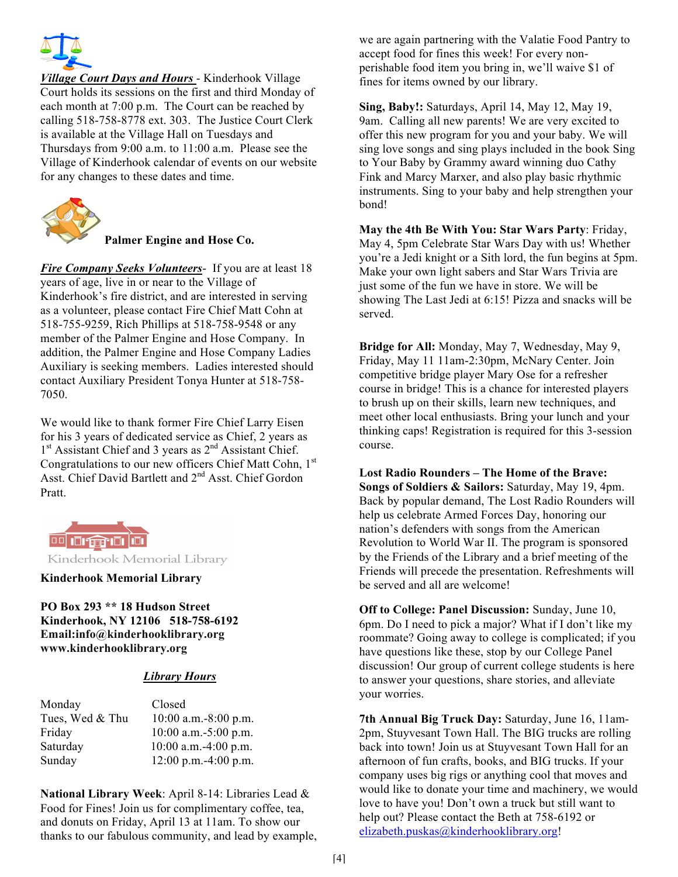

*Village Court Days and Hours* - Kinderhook Village Court holds its sessions on the first and third Monday of each month at 7:00 p.m. The Court can be reached by calling 518-758-8778 ext. 303. The Justice Court Clerk is available at the Village Hall on Tuesdays and Thursdays from 9:00 a.m. to 11:00 a.m. Please see the Village of Kinderhook calendar of events on our website for any changes to these dates and time.



**Palmer Engine and Hose Co.**

*Fire Company Seeks Volunteers*- If you are at least 18 years of age, live in or near to the Village of Kinderhook's fire district, and are interested in serving as a volunteer, please contact Fire Chief Matt Cohn at 518-755-9259, Rich Phillips at 518-758-9548 or any member of the Palmer Engine and Hose Company. In addition, the Palmer Engine and Hose Company Ladies Auxiliary is seeking members. Ladies interested should contact Auxiliary President Tonya Hunter at 518-758- 7050.

We would like to thank former Fire Chief Larry Eisen for his 3 years of dedicated service as Chief, 2 years as 1<sup>st</sup> Assistant Chief and 3 years as 2<sup>nd</sup> Assistant Chief. Congratulations to our new officers Chief Matt Cohn, 1<sup>st</sup> Asst. Chief David Bartlett and 2<sup>nd</sup> Asst. Chief Gordon Pratt.



Kinderhook Memorial Library

#### **Kinderhook Memorial Library**

**PO Box 293 \*\* 18 Hudson Street Kinderhook, NY 12106 518-758-6192 Email:info@kinderhooklibrary.org www.kinderhooklibrary.org**

# *Library Hours*

| Closed                 |
|------------------------|
| $10:00$ a.m.-8:00 p.m. |
| $10:00$ a.m.-5:00 p.m. |
| $10:00$ a.m.-4:00 p.m. |
| $12:00$ p.m.-4:00 p.m. |
|                        |

**National Library Week**: April 8-14: Libraries Lead & Food for Fines! Join us for complimentary coffee, tea, and donuts on Friday, April 13 at 11am. To show our thanks to our fabulous community, and lead by example, we are again partnering with the Valatie Food Pantry to accept food for fines this week! For every nonperishable food item you bring in, we'll waive \$1 of fines for items owned by our library.

**Sing, Baby!:** Saturdays, April 14, May 12, May 19, 9am. Calling all new parents! We are very excited to offer this new program for you and your baby. We will sing love songs and sing plays included in the book Sing to Your Baby by Grammy award winning duo Cathy Fink and Marcy Marxer, and also play basic rhythmic instruments. Sing to your baby and help strengthen your bond!

**May the 4th Be With You: Star Wars Party**: Friday, May 4, 5pm Celebrate Star Wars Day with us! Whether you're a Jedi knight or a Sith lord, the fun begins at 5pm. Make your own light sabers and Star Wars Trivia are just some of the fun we have in store. We will be showing The Last Jedi at 6:15! Pizza and snacks will be served.

**Bridge for All:** Monday, May 7, Wednesday, May 9, Friday, May 11 11am-2:30pm, McNary Center. Join competitive bridge player Mary Ose for a refresher course in bridge! This is a chance for interested players to brush up on their skills, learn new techniques, and meet other local enthusiasts. Bring your lunch and your thinking caps! Registration is required for this 3-session course.

**Lost Radio Rounders – The Home of the Brave: Songs of Soldiers & Sailors:** Saturday, May 19, 4pm. Back by popular demand, The Lost Radio Rounders will help us celebrate Armed Forces Day, honoring our nation's defenders with songs from the American Revolution to World War II. The program is sponsored by the Friends of the Library and a brief meeting of the Friends will precede the presentation. Refreshments will be served and all are welcome!

**Off to College: Panel Discussion:** Sunday, June 10, 6pm. Do I need to pick a major? What if I don't like my roommate? Going away to college is complicated; if you have questions like these, stop by our College Panel discussion! Our group of current college students is here to answer your questions, share stories, and alleviate your worries.

**7th Annual Big Truck Day:** Saturday, June 16, 11am-2pm, Stuyvesant Town Hall. The BIG trucks are rolling back into town! Join us at Stuyvesant Town Hall for an afternoon of fun crafts, books, and BIG trucks. If your company uses big rigs or anything cool that moves and would like to donate your time and machinery, we would love to have you! Don't own a truck but still want to help out? Please contact the Beth at 758-6192 or elizabeth.puskas@kinderhooklibrary.org!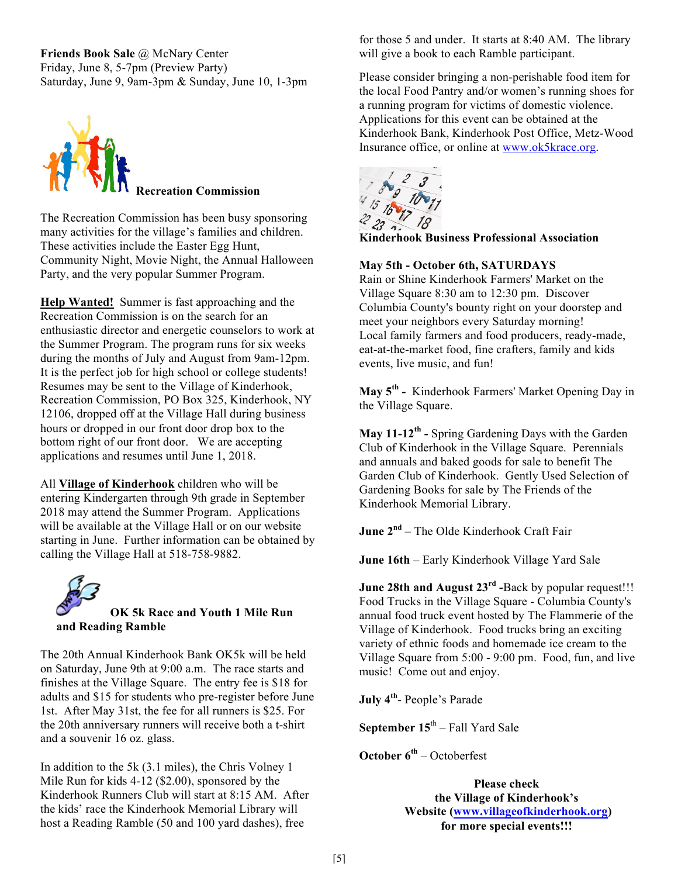**Friends Book Sale** @ McNary Center Friday, June 8, 5-7pm (Preview Party) Saturday, June 9, 9am-3pm & Sunday, June 10, 1-3pm



The Recreation Commission has been busy sponsoring many activities for the village's families and children. These activities include the Easter Egg Hunt, Community Night, Movie Night, the Annual Halloween Party, and the very popular Summer Program.

**Help Wanted!** Summer is fast approaching and the Recreation Commission is on the search for an enthusiastic director and energetic counselors to work at the Summer Program. The program runs for six weeks during the months of July and August from 9am-12pm. It is the perfect job for high school or college students! Resumes may be sent to the Village of Kinderhook, Recreation Commission, PO Box 325, Kinderhook, NY 12106, dropped off at the Village Hall during business hours or dropped in our front door drop box to the bottom right of our front door. We are accepting applications and resumes until June 1, 2018.

All **Village of Kinderhook** children who will be entering Kindergarten through 9th grade in September 2018 may attend the Summer Program. Applications will be available at the Village Hall or on our website starting in June. Further information can be obtained by calling the Village Hall at 518-758-9882.



The 20th Annual Kinderhook Bank OK5k will be held on Saturday, June 9th at 9:00 a.m. The race starts and finishes at the Village Square. The entry fee is \$18 for adults and \$15 for students who pre-register before June 1st. After May 31st, the fee for all runners is \$25. For the 20th anniversary runners will receive both a t-shirt and a souvenir 16 oz. glass.

In addition to the 5k (3.1 miles), the Chris Volney 1 Mile Run for kids 4-12 (\$2.00), sponsored by the Kinderhook Runners Club will start at 8:15 AM. After the kids' race the Kinderhook Memorial Library will host a Reading Ramble (50 and 100 yard dashes), free

for those 5 and under. It starts at 8:40 AM. The library will give a book to each Ramble participant.

Please consider bringing a non-perishable food item for the local Food Pantry and/or women's running shoes for a running program for victims of domestic violence. Applications for this event can be obtained at the Kinderhook Bank, Kinderhook Post Office, Metz-Wood Insurance office, or online at www.ok5krace.org.



**Kinderhook Business Professional Association**

## **May 5th - October 6th, SATURDAYS**

Rain or Shine Kinderhook Farmers' Market on the Village Square 8:30 am to 12:30 pm. Discover Columbia County's bounty right on your doorstep and meet your neighbors every Saturday morning! Local family farmers and food producers, ready-made, eat-at-the-market food, fine crafters, family and kids events, live music, and fun!

**May 5th -** Kinderhook Farmers' Market Opening Day in the Village Square.

**May 11-12th -** Spring Gardening Days with the Garden Club of Kinderhook in the Village Square. Perennials and annuals and baked goods for sale to benefit The Garden Club of Kinderhook. Gently Used Selection of Gardening Books for sale by The Friends of the Kinderhook Memorial Library.

**June 2nd** – The Olde Kinderhook Craft Fair

**June 16th** – Early Kinderhook Village Yard Sale

**June 28th and August 23rd -**Back by popular request!!! Food Trucks in the Village Square - Columbia County's annual food truck event hosted by The Flammerie of the Village of Kinderhook. Food trucks bring an exciting variety of ethnic foods and homemade ice cream to the Village Square from 5:00 - 9:00 pm. Food, fun, and live music! Come out and enjoy.

**July 4th**- People's Parade

**September 15**th – Fall Yard Sale

**October 6th** – Octoberfest

**Please check the Village of Kinderhook's Website (www.villageofkinderhook.org) for more special events!!!**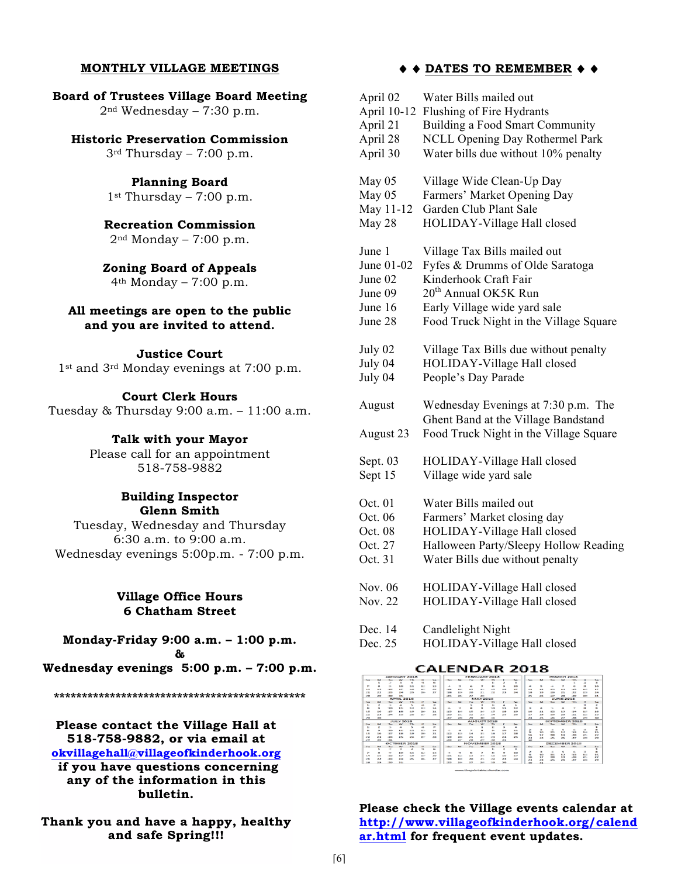#### **MONTHLY VILLAGE MEETINGS**

**Board of Trustees Village Board Meeting**  $2<sup>nd</sup> Wednesday - 7:30 p.m.$ 

#### **Historic Preservation Commission**

 $3<sup>rd</sup>$  Thursday – 7:00 p.m.

**Planning Board**  $1<sup>st</sup>$  Thursday – 7:00 p.m.

**Recreation Commission**  $2<sup>nd</sup> Monday - 7:00 p.m.$ 

**Zoning Board of Appeals**  $4<sup>th</sup> Monday - 7:00 p.m.$ 

## **All meetings are open to the public and you are invited to attend.**

**Justice Court** 1st and 3rd Monday evenings at 7:00 p.m.

#### **Court Clerk Hours**

Tuesday & Thursday 9:00 a.m. – 11:00 a.m.

#### **Talk with your Mayor**

Please call for an appointment 518-758-9882

#### **Building Inspector Glenn Smith**

Tuesday, Wednesday and Thursday 6:30 a.m. to 9:00 a.m. Wednesday evenings 5:00p.m. - 7:00 p.m.

## **Village Office Hours 6 Chatham Street**

**Monday-Friday 9:00 a.m. – 1:00 p.m. &**

**Wednesday evenings 5:00 p.m. – 7:00 p.m.**

**\*\*\*\*\*\*\*\*\*\*\*\*\*\*\*\*\*\*\*\*\*\*\*\*\*\*\*\*\*\*\*\*\*\*\*\*\*\*\*\*\*\*\*\*\***

## **Please contact the Village Hall at 518-758-9882, or via email at okvillagehall@villageofkinderhook.org**

**if you have questions concerning any of the information in this bulletin.** 

**Thank you and have a happy, healthy and safe Spring!!!**

#### ♦ ♦ **DATES TO REMEMBER** ♦ ♦

| April 02            | Water Bills mailed out                                                                                               |
|---------------------|----------------------------------------------------------------------------------------------------------------------|
| April 10-12         | Flushing of Fire Hydrants                                                                                            |
| April 21            | Building a Food Smart Community                                                                                      |
| April 28            | <b>NCLL Opening Day Rothermel Park</b>                                                                               |
| April 30            | Water bills due without 10% penalty                                                                                  |
| May 05              | Village Wide Clean-Up Day                                                                                            |
| May 05              | Farmers' Market Opening Day                                                                                          |
| May 11-12           | Garden Club Plant Sale                                                                                               |
| May 28              | HOLIDAY-Village Hall closed                                                                                          |
| June 1              | Village Tax Bills mailed out                                                                                         |
| June 01-02          | Fyfes & Drumms of Olde Saratoga                                                                                      |
| June 02             | Kinderhook Craft Fair                                                                                                |
| June 09             | 20 <sup>th</sup> Annual OK5K Run                                                                                     |
| June 16             | Early Village wide yard sale                                                                                         |
| June 28             | Food Truck Night in the Village Square                                                                               |
| July 02             | Village Tax Bills due without penalty                                                                                |
| July 04             | HOLIDAY-Village Hall closed                                                                                          |
| July 04             | People's Day Parade                                                                                                  |
| August<br>August 23 | Wednesday Evenings at 7:30 p.m. The<br>Ghent Band at the Village Bandstand<br>Food Truck Night in the Village Square |
| Sept. 03            | HOLIDAY-Village Hall closed                                                                                          |
| Sept 15             | Village wide yard sale                                                                                               |
| Oct. 01             | Water Bills mailed out                                                                                               |
| Oct. 06             | Farmers' Market closing day                                                                                          |
| Oct. 08             | HOLIDAY-Village Hall closed                                                                                          |
| Oct. 27             | Halloween Party/Sleepy Hollow Reading                                                                                |
| Oct. 31             | Water Bills due without penalty                                                                                      |
| Nov. 06             | HOLIDAY-Village Hall closed                                                                                          |
| Nov. 22             | HOLIDAY-Village Hall closed                                                                                          |
| Dec. 14             | Candlelight Night                                                                                                    |
| Dec. 25             | HOLIDAY-Village Hall closed                                                                                          |

#### **CALENDAR 2018**

| $5 - 4$                     |           |                          | $\sim$           | <b>Vita</b>    |               | Signal.                  |                      |              |                |           |                          |                          |                |                                  |                 | Wing           | -                |                |            | Sec.       |  |
|-----------------------------|-----------|--------------------------|------------------|----------------|---------------|--------------------------|----------------------|--------------|----------------|-----------|--------------------------|--------------------------|----------------|----------------------------------|-----------------|----------------|------------------|----------------|------------|------------|--|
|                             |           |                          | ×                | ٠              |               | $\overline{a}$           |                      |              |                |           |                          |                          | $\overline{a}$ |                                  |                 |                |                  |                |            |            |  |
| $\rightarrow$               |           |                          | <b>SALE</b>      | <b>SUN</b>     | $\mathbb{R}$  | <b>SIL</b>               | ٠                    | $\sim$       | $\overline{a}$ | ×         |                          | $\sim$                   | <b>AGE</b>     | $\overline{a}$                   |                 |                | ×                |                |            | b Or       |  |
| 5.40                        | $\sim$    | 36                       | 107              | 1.00           | 285           | 30                       | 33.                  | 3.21         | <b>SAN</b>     | <b>SA</b> | <b>ST</b>                | $\sim$                   | 127            | $\mathbb{Z}$                     | 3.21            | <b>B.M.</b>    | <b>Sunt</b>      | <b>SH</b>      | 2.61       | <b>XIP</b> |  |
| <b>PR</b>                   | $\sim$    | $x +$                    | <b>Dealer</b>    | $\sim$         | ma.           | 39                       | 28                   | 19           | $\sim$         | 33        | <b>Inc.</b>              | 23                       | 100            | $\sim$                           | $\mathbf{r}$    |                | $\sim$           | 22             | $x +$      | $1 -$      |  |
| $\mathbf{r}$                |           |                          |                  |                |               |                          | $25 -$               | 35           | <b>ARR</b>     | $\sim$    |                          |                          |                | <b>STA</b>                       | 35              | m              |                  |                |            | 12.        |  |
|                             |           |                          | APRIL 2010       |                |               |                          |                      |              |                | MAY 2010  |                          |                          |                |                                  |                 |                | <b>HANE 2003</b> |                |            |            |  |
| Nos.                        |           |                          | w                |                |               | Since.                   |                      | <b>Built</b> |                |           |                          |                          |                |                                  |                 |                |                  |                |            | Kar.       |  |
| $\mathcal{L}_{\mathcal{L}}$ | ٠         |                          | ۰                | s,             |               | $\overline{\phantom{a}}$ |                      |              | ÷              |           | ٠                        | ۰                        | $\sim$         |                                  |                 |                |                  |                |            |            |  |
| ۰                           |           | 20 <sup>2</sup>          | 11               | tur.           | $\pm$         | 34                       | a.                   | ٠            |                |           | 200                      | $\mathbf{m}$             | t.in           | $\overline{\phantom{a}}$         |                 |                |                  |                |            |            |  |
| 65                          |           | 4.91                     | $\bullet$        | -4             | $\rightarrow$ | 23                       | 35.84                | <b>A.M.</b>  | <b>ANG</b>     | 14.44     | $\sim$                   | $\rightarrow$            | $\cdots$       | ۰                                | 11.5            | <b>A</b> DF    | <b>MAG</b>       | $^{3+}$        | 45.        | 14         |  |
| <b>Inter</b>                | 24        | Am.                      | 35               | <b>CHE</b>     | $x +$         | $^{26}$                  | <b>July</b>          | 89.          | 20             | 38        | in                       | ×                        | <b>Delta</b>   | $\sim$                           | 14.             | $\sim$         | <b>Delay</b>     | 22.5           | <b>ASP</b> | <b>RS</b>  |  |
| <b>DO</b>                   |           |                          |                  |                |               |                          | 37                   | 24           | $\mathcal{L}$  |           |                          |                          |                | 24                               | 35.             | <b>Date</b>    | 20               | <b>Box</b>     | 24         |            |  |
|                             |           |                          | <b>JULY 2018</b> |                |               |                          | <b>ALAGLIST 2018</b> |              |                |           |                          |                          |                |                                  | SEPTEMBER 3918. |                |                  |                |            |            |  |
| Nos.                        |           |                          | w                | <b>The</b>     |               | <b>Signal</b>            |                      | <b>M</b>     | The C          |           |                          |                          |                |                                  |                 |                |                  |                |            | Sac.       |  |
| ĸ,                          | ×         |                          | $\sim$           | ×.             |               | $\overline{\phantom{a}}$ |                      |              |                |           |                          | $\overline{\phantom{a}}$ | $\blacksquare$ |                                  |                 |                |                  |                |            |            |  |
| ٠                           |           | <b>BO</b>                | 4.97             | 5.00           | 14.94         | 14.41                    | ×.                   |              |                |           |                          | w                        | 6.61           | $\overline{a}$<br>$\blacksquare$ | $\rightarrow$   | 10             | $\sim$<br>to:    | <b>XR</b>      | 3.41       | <b>xs</b>  |  |
| 15                          |           | <b>KT</b>                | 3.91             | <b>Life</b>    | 30            | 31                       | $3.2^{\circ}$        | <b>AR</b>    | <b>DA</b>      | 33        | <b>DR</b>                | <b>SO</b>                | <b>LB</b>      | ÷                                | 誓               | 18             | <b>SIM</b>       | $^{**}$        | $x +$      | $x +$      |  |
| 22                          | 2014      | 34.                      | 25               | <b>Charles</b> | 300           | 200                      | <b>SP</b>            | <b>Selle</b> | 29             | 3.81      | 200                      | 24                       | 28.            | ×.                               | i.              | $\overline{1}$ |                  | $\overline{1}$ | 240        | into       |  |
| 200                         | <b>SH</b> | 11                       |                  |                |               |                          | 2010                 | <b>XX</b>    |                | 21        |                          | m                        |                |                                  |                 |                |                  |                |            |            |  |
|                             |           |                          |                  | OCTOBER 2018   |               |                          |                      |              |                |           | <b>NICKVENABITI 3018</b> |                          |                |                                  |                 |                |                  | OCCEMBER 2018  |            |            |  |
| $5 -$                       |           |                          | w                | <b>HRL</b>     |               | Sim-                     |                      |              | <b>Pure</b>    | ÷         |                          |                          | $\sim$         |                                  |                 |                |                  |                |            |            |  |
|                             |           |                          | ٠                | ٠              |               | $\sim$                   |                      |              |                |           |                          | ×                        | $\blacksquare$ |                                  |                 |                |                  |                |            |            |  |
| $\sim$                      |           |                          | 3.00             | <b>STATE</b>   | 31.81         | <b>SOF</b>               | ٠                    | m.           | $\sim$         |           | $\sim$                   | ٠                        | <b>SHOP</b>    |                                  |                 |                | s<br>is.         | v.             |            | 95         |  |
| $\sim$                      |           | <b>Bib</b>               | 12               | 1.00           | <b>THE</b>    | <b>MA</b>                | $\mathbf{u}$         | 18           | <b>SIX</b>     | 24        | 15                       | Total                    | 10             | Ξ                                | ÷               | m              | $\sim$           | $\rightarrow$  | 盜          | 28         |  |
| <b>STELL</b>                | 33        | <b>TT</b>                | 2.95             |                | ma.           | <b>AT</b>                | <b>TR</b>            | <b>TH</b>    | $\sim$         | 22.       | <b>STO</b>               | <b>ATT</b>               | 200            | 28                               | 38              | 25.            | 246              | 33             | 28         | 291        |  |
| <b>COL</b>                  | $-$       | $\overline{\phantom{a}}$ | $8 - 6$          |                |               |                          | 35                   | into         | $\rightarrow$  | <b>AB</b> | <b>PR</b>                | $\overline{\phantom{a}}$ |                | $\sim$                           | $\overline{1}$  |                |                  |                |            |            |  |

**Please check the Village events calendar at http://www.villageofkinderhook.org/calend ar.html for frequent event updates.**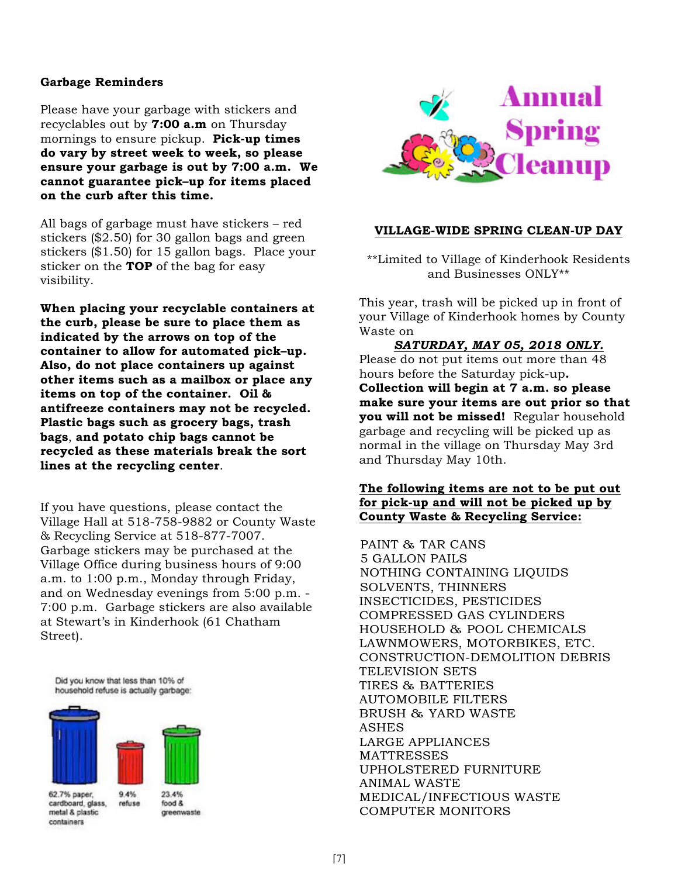# **Garbage Reminders**

Please have your garbage with stickers and recyclables out by **7:00 a.m** on Thursday mornings to ensure pickup. **Pick-up times do vary by street week to week, so please ensure your garbage is out by 7:00 a.m. We cannot guarantee pick–up for items placed on the curb after this time.**

All bags of garbage must have stickers – red stickers (\$2.50) for 30 gallon bags and green stickers (\$1.50) for 15 gallon bags. Place your sticker on the **TOP** of the bag for easy visibility.

**When placing your recyclable containers at the curb, please be sure to place them as indicated by the arrows on top of the container to allow for automated pick–up. Also, do not place containers up against other items such as a mailbox or place any items on top of the container. Oil & antifreeze containers may not be recycled. Plastic bags such as grocery bags, trash bags**, **and potato chip bags cannot be recycled as these materials break the sort lines at the recycling center**.

If you have questions, please contact the Village Hall at 518-758-9882 or County Waste & Recycling Service at 518-877-7007. Garbage stickers may be purchased at the Village Office during business hours of 9:00 a.m. to 1:00 p.m., Monday through Friday, and on Wednesday evenings from 5:00 p.m. - 7:00 p.m. Garbage stickers are also available at Stewart's in Kinderhook (61 Chatham Street).

Did you know that less than 10% of household refuse is actually garbage:



cardboard, glass, metal & plastic containers

food & greenwaste



## **VILLAGE-WIDE SPRING CLEAN-UP DAY**

\*\*Limited to Village of Kinderhook Residents and Businesses ONLY\*\*

This year, trash will be picked up in front of your Village of Kinderhook homes by County Waste on

#### *SATURDAY, MAY 05, 2018 ONLY.*

Please do not put items out more than 48 hours before the Saturday pick-up**. Collection will begin at 7 a.m. so please make sure your items are out prior so that you will not be missed!** Regular household garbage and recycling will be picked up as normal in the village on Thursday May 3rd and Thursday May 10th.

## **The following items are not to be put out for pick-up and will not be picked up by County Waste & Recycling Service:**

PAINT & TAR CANS 5 GALLON PAILS NOTHING CONTAINING LIQUIDS SOLVENTS, THINNERS INSECTICIDES, PESTICIDES COMPRESSED GAS CYLINDERS HOUSEHOLD & POOL CHEMICALS LAWNMOWERS, MOTORBIKES, ETC. CONSTRUCTION-DEMOLITION DEBRIS TELEVISION SETS TIRES & BATTERIES AUTOMOBILE FILTERS BRUSH & YARD WASTE **ASHES** LARGE APPLIANCES MATTRESSES UPHOLSTERED FURNITURE ANIMAL WASTE MEDICAL/INFECTIOUS WASTE COMPUTER MONITORS